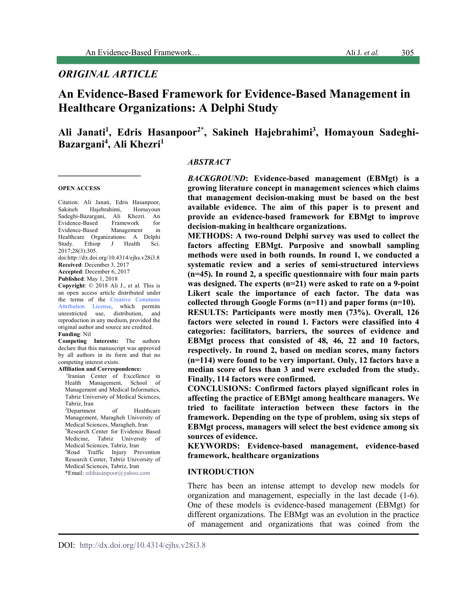*ORIGINAL ARTICLE*

# **An Evidence-Based Framework for Evidence-Based Management in Healthcare Organizations: A Delphi Study**

## Ali Janati<sup>1</sup>, Edris Hasanpoor<sup>2\*</sup>, Sakineh Hajebrahimi<sup>3</sup>, Homayoun Sadeghi-**Bazargani4 , Ali Khezri1**

## **OPEN ACCESS**

Citation: Ali Janati, Edris Hasanpoor, Sakineh Hajebrahimi, Homayoun Sadeghi-Bazargani, Ali Khezri. An Evidence-Based Evidence-Based Management in Healthcare Organizations: A Delphi<br>Study. Ethiop J Health Sci. Study. Ethiop J Health Sci. 2017;28(3):305. doi:http://dx.doi.org/10.4314/ejhs.v28i3.8 **Received**: December 3, 2017 **Accepted**: December 6, 2017 **Published**: May 1, 2018 **Copyright**: © 2018 Ali J., et al. This is an open access article distributed under the terms of the Creative Commons Attribution License, which permits unrestricted use, distribution, and reproduction in any medium, provided the original author and source are credited. **Funding**: Nil

**Competing Interests:** The authors declare that this manuscript was approved by all authors in its form and that no competing interest exists.

#### **Affiliation and Correspondence:**

1 Iranian Center of Excellence in Health Management, School of Management and Medical Informatics, Tabriz University of Medical Sciences, Tabriz, Iran <sup>2</sup>Department of Healthcare Management, Maragheh University of Medical Sciences, Maragheh, Iran 3 Research Center for Evidence Based Medicine, Tabriz University of Medical Sciences, Tabriz, Iran 4 Road Traffic Injury Prevention Research Center, Tabriz University of

Medical Sciences, Tabriz, Iran \*Email: edihasanpoor@yahoo.com

### *ABSTRACT*

*BACKGROUND***: Evidence-based management (EBMgt) is a growing literature concept in management sciences which claims that management decision-making must be based on the best available evidence. The aim of this paper is to present and provide an evidence-based framework for EBMgt to improve decision-making in healthcare organizations.** 

**METHODS: A two-round Delphi survey was used to collect the factors affecting EBMgt. Purposive and snowball sampling methods were used in both rounds. In round 1, we conducted a systematic review and a series of semi-structured interviews (n=45). In round 2, a specific questionnaire with four main parts was designed. The experts (n=21) were asked to rate on a 9-point Likert scale the importance of each factor. The data was collected through Google Forms (n=11) and paper forms (n=10). RESULTS: Participants were mostly men (73%). Overall, 126** 

**factors were selected in round 1. Factors were classified into 4 categories: facilitators, barriers, the sources of evidence and EBMgt process that consisted of 48, 46, 22 and 10 factors, respectively. In round 2, based on median scores, many factors (n=114) were found to be very important. Only, 12 factors have a median score of less than 3 and were excluded from the study. Finally, 114 factors were confirmed.**

**CONCLUSIONS: Confirmed factors played significant roles in affecting the practice of EBMgt among healthcare managers. We tried to facilitate interaction between these factors in the framework. Depending on the type of problem, using six steps of EBMgt process, managers will select the best evidence among six sources of evidence.** 

**KEYWORDS: Evidence-based management, evidence-based framework, healthcare organizations**

## **INTRODUCTION**

There has been an intense attempt to develop new models for organization and management, especially in the last decade (1-6). One of these models is evidence-based management (EBMgt) for different organizations. The EBMgt was an evolution in the practice of management and organizations that was coined from the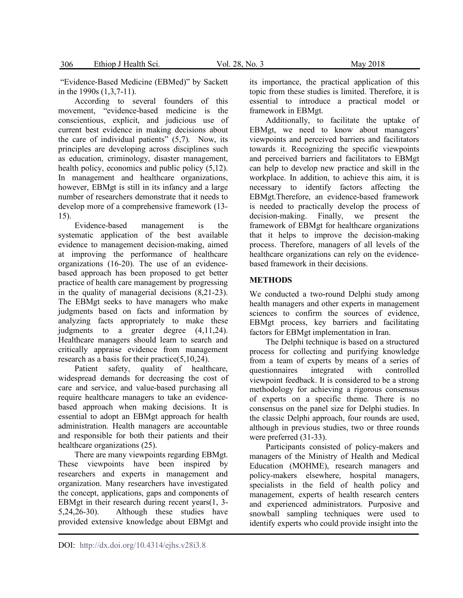Ethiop J Health Sci. Vol. 28, No. 3 May 2018 306

"Evidence-Based Medicine (EBMed)" by Sackett in the 1990s (1,3,7-11).

According to several founders of this movement, "evidence-based medicine is the conscientious, explicit, and judicious use of current best evidence in making decisions about the care of individual patients" (5,7). Now, its principles are developing across disciplines such as education, criminology, disaster management, health policy, economics and public policy (5,12). In management and healthcare organizations, however, EBMgt is still in its infancy and a large number of researchers demonstrate that it needs to develop more of a comprehensive framework (13- 15).

Evidence-based management is the systematic application of the best available evidence to management decision-making, aimed at improving the performance of healthcare organizations (16-20). The use of an evidencebased approach has been proposed to get better practice of health care management by progressing in the quality of managerial decisions (8,21-23). The EBMgt seeks to have managers who make judgments based on facts and information by analyzing facts appropriately to make these judgments to a greater degree (4,11,24). Healthcare managers should learn to search and critically appraise evidence from management research as a basis for their practice(5,10,24).

Patient safety, quality of healthcare, widespread demands for decreasing the cost of care and service, and value-based purchasing all require healthcare managers to take an evidencebased approach when making decisions. It is essential to adopt an EBMgt approach for health administration. Health managers are accountable and responsible for both their patients and their healthcare organizations (25).

There are many viewpoints regarding EBMgt. These viewpoints have been inspired by researchers and experts in management and organization. Many researchers have investigated the concept, applications, gaps and components of EBMgt in their research during recent years(1, 3- 5,24,26-30). Although these studies have provided extensive knowledge about EBMgt and its importance, the practical application of this topic from these studies is limited. Therefore, it is essential to introduce a practical model or framework in EBMgt.

Additionally, to facilitate the uptake of EBMgt, we need to know about managers' viewpoints and perceived barriers and facilitators towards it. Recognizing the specific viewpoints and perceived barriers and facilitators to EBMgt can help to develop new practice and skill in the workplace. In addition, to achieve this aim, it is necessary to identify factors affecting the EBMgt.Therefore, an evidence-based framework is needed to practically develop the process of decision-making. Finally, we present the framework of EBMgt for healthcare organizations that it helps to improve the decision-making process. Therefore, managers of all levels of the healthcare organizations can rely on the evidencebased framework in their decisions.

### **METHODS**

We conducted a two-round Delphi study among health managers and other experts in management sciences to confirm the sources of evidence, EBMgt process, key barriers and facilitating factors for EBMgt implementation in Iran.

The Delphi technique is based on a structured process for collecting and purifying knowledge from a team of experts by means of a series of questionnaires integrated with controlled viewpoint feedback. It is considered to be a strong methodology for achieving a rigorous consensus of experts on a specific theme. There is no consensus on the panel size for Delphi studies. In the classic Delphi approach, four rounds are used, although in previous studies, two or three rounds were preferred (31-33).

Participants consisted of policy-makers and managers of the Ministry of Health and Medical Education (MOHME), research managers and policy-makers elsewhere, hospital managers, specialists in the field of health policy and management, experts of health research centers and experienced administrators. Purposive and snowball sampling techniques were used to identify experts who could provide insight into the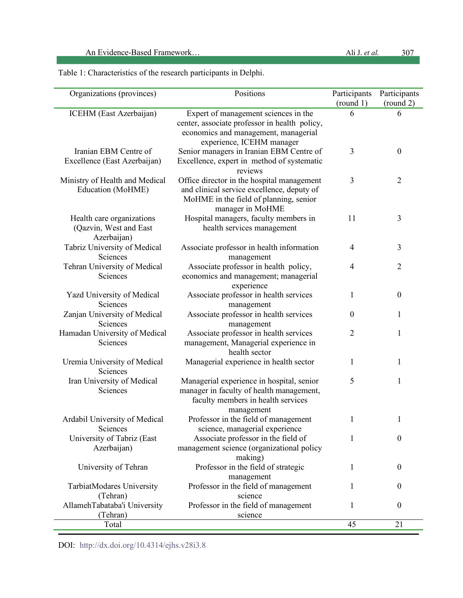Table 1: Characteristics of the research participants in Delphi.

| Organizations (provinces)                 | Positions                                                                             | Participants     | Participants     |
|-------------------------------------------|---------------------------------------------------------------------------------------|------------------|------------------|
|                                           |                                                                                       | (round 1)        | (round 2)        |
| ICEHM (East Azerbaijan)                   | Expert of management sciences in the                                                  | 6                | 6                |
|                                           | center, associate professor in health policy,<br>economics and management, managerial |                  |                  |
|                                           | experience, ICEHM manager                                                             |                  |                  |
| Iranian EBM Centre of                     | Senior managers in Iranian EBM Centre of                                              | $\mathfrak{Z}$   | $\boldsymbol{0}$ |
| Excellence (East Azerbaijan)              | Excellence, expert in method of systematic                                            |                  |                  |
|                                           | reviews                                                                               |                  |                  |
| Ministry of Health and Medical            | Office director in the hospital management                                            | $\mathfrak{Z}$   | $\overline{2}$   |
| Education (MoHME)                         | and clinical service excellence, deputy of                                            |                  |                  |
|                                           | MoHME in the field of planning, senior                                                |                  |                  |
| Health care organizations                 | manager in MoHME<br>Hospital managers, faculty members in                             | 11               | 3                |
| (Qazvin, West and East                    | health services management                                                            |                  |                  |
| Azerbaijan)                               |                                                                                       |                  |                  |
| Tabriz University of Medical              | Associate professor in health information                                             | $\overline{4}$   | 3                |
| Sciences                                  | management                                                                            |                  |                  |
| Tehran University of Medical              | Associate professor in health policy,                                                 | $\overline{4}$   | $\overline{2}$   |
| Sciences                                  | economics and management; managerial                                                  |                  |                  |
|                                           | experience<br>Associate professor in health services                                  |                  |                  |
| Yazd University of Medical<br>Sciences    | management                                                                            | 1                | $\boldsymbol{0}$ |
| Zanjan University of Medical              | Associate professor in health services                                                | $\boldsymbol{0}$ | 1                |
| Sciences                                  | management                                                                            |                  |                  |
| Hamadan University of Medical             | Associate professor in health services                                                | $\overline{2}$   | 1                |
| Sciences                                  | management, Managerial experience in                                                  |                  |                  |
|                                           | health sector                                                                         |                  |                  |
| Uremia University of Medical<br>Sciences  | Managerial experience in health sector                                                | 1                | 1                |
| Iran University of Medical                | Managerial experience in hospital, senior                                             | 5                | 1                |
| Sciences                                  | manager in faculty of health management,                                              |                  |                  |
|                                           | faculty members in health services                                                    |                  |                  |
|                                           | management                                                                            |                  |                  |
| Ardabil University of Medical             | Professor in the field of management                                                  | 1                | 1                |
| Sciences                                  | science, managerial experience<br>Associate professor in the field of                 |                  | $\boldsymbol{0}$ |
| University of Tabriz (East<br>Azerbaijan) | management science (organizational policy                                             | 1                |                  |
|                                           | making)                                                                               |                  |                  |
| University of Tehran                      | Professor in the field of strategic                                                   | 1                | $\boldsymbol{0}$ |
|                                           | management                                                                            |                  |                  |
| TarbiatModares University                 | Professor in the field of management                                                  | 1                | $\theta$         |
| (Tehran)                                  | science                                                                               |                  |                  |
| AllamehTabataba'i University              | Professor in the field of management                                                  | $\mathbf{1}$     | $\boldsymbol{0}$ |
| (Tehran)<br>Total                         | science                                                                               | 45               | 21               |
|                                           |                                                                                       |                  |                  |

DOI: http://dx.doi.org/10.4314/ejhs.v28i3.8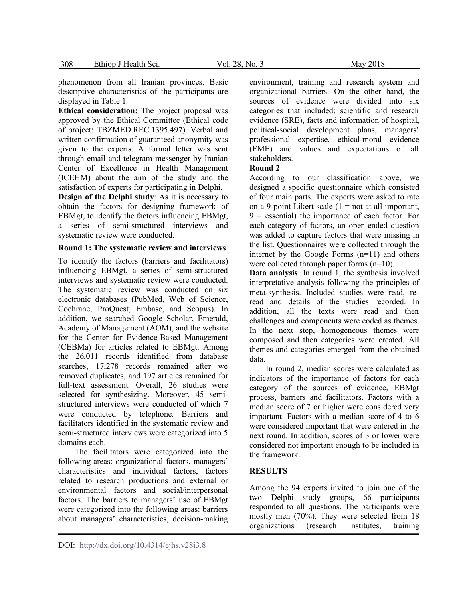phenomenon from all Iranian provinces. Basic descriptive characteristics of the participants are displayed in Table 1.

**Ethical consideration:** The project proposal was approved by the Ethical Committee (Ethical code of project: TBZMED.REC.1395.497). Verbal and written confirmation of guaranteed anonymity was given to the experts. A formal letter was sent through email and telegram messenger by Iranian Center of Excellence in Health Management (ICEHM) about the aim of the study and the satisfaction of experts for participating in Delphi.

**Design of the Delphi study**: As it is necessary to obtain the factors for designing framework of EBMgt, to identify the factors influencing EBMgt, a series of semi-structured interviews and systematic review were conducted.

#### **Round 1: The systematic review and interviews**

To identify the factors (barriers and facilitators) influencing EBMgt, a series of semi-structured interviews and systematic review were conducted. The systematic review was conducted on six electronic databases (PubMed, Web of Science, Cochrane, ProQuest, Embase, and Scopus). In addition, we searched Google Scholar, Emerald, Academy of Management (AOM), and the website for the Center for Evidence-Based Management (CEBMa) for articles related to EBMgt. Among the 26,011 records identified from database searches, 17,278 records remained after we removed duplicates, and 197 articles remained for full-text assessment. Overall, 26 studies were selected for synthesizing. Moreover, 45 semistructured interviews were conducted of which 7 were conducted by telephone. Barriers and facilitators identified in the systematic review and semi-structured interviews were categorized into 5 domains each.

The facilitators were categorized into the following areas: organizational factors, managers' characteristics and individual factors, factors related to research productions and external or environmental factors and social/interpersonal factors. The barriers to managers' use of EBMgt were categorized into the following areas: barriers about managers' characteristics, decision-making environment, training and research system and organizational barriers. On the other hand, the sources of evidence were divided into six categories that included: scientific and research evidence (SRE), facts and information of hospital, political-social development plans, managers' professional expertise, ethical-moral evidence (EME) and values and expectations of all stakeholders.

#### **Round 2**

According to our classification above, we designed a specific questionnaire which consisted of four main parts. The experts were asked to rate on a 9-point Likert scale  $(1 = not at all important,$  $9 =$  essential) the importance of each factor. For each category of factors, an open-ended question was added to capture factors that were missing in the list. Questionnaires were collected through the internet by the Google Forms (n=11) and others were collected through paper forms (n=10).

**Data analysis**: In round 1, the synthesis involved interpretative analysis following the principles of meta-synthesis. Included studies were read, reread and details of the studies recorded. In addition, all the texts were read and then challenges and components were coded as themes. In the next step, homogeneous themes were composed and then categories were created. All themes and categories emerged from the obtained data.

In round 2, median scores were calculated as indicators of the importance of factors for each category of the sources of evidence, EBMgt process, barriers and facilitators. Factors with a median score of 7 or higher were considered very important. Factors with a median score of 4 to 6 were considered important that were entered in the next round. In addition, scores of 3 or lower were considered not important enough to be included in the framework.

### **RESULTS**

Among the 94 experts invited to join one of the two Delphi study groups, 66 participants responded to all questions. The participants were mostly men (70%). They were selected from 18 organizations (research institutes, training

DOI: http://dx.doi.org/10.4314/ejhs.v28i3.8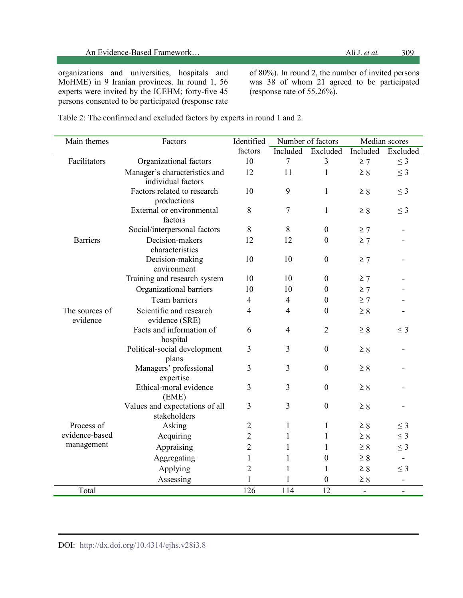organizations and universities, hospitals and MoHME) in 9 Iranian provinces. In round 1, 56 experts were invited by the ICEHM; forty-five 45 persons consented to be participated (response rate of 80%). In round 2, the number of invited persons was 38 of whom 21 agreed to be participated (response rate of 55.26%).

Table 2: The confirmed and excluded factors by experts in round 1 and 2.

| Main themes     | Factors                        | Identified     |                | Number of factors | Median scores  |                              |
|-----------------|--------------------------------|----------------|----------------|-------------------|----------------|------------------------------|
|                 |                                | factors        | Included       | Excluded          | Included       | Excluded                     |
| Facilitators    | Organizational factors         | 10             | 7              | 3                 | $\geq 7$       | $\leq$ 3                     |
|                 | Manager's characteristics and  | 12             | 11             | $\mathbf{1}$      | $\geq 8$       | $\leq$ 3                     |
|                 | individual factors             |                |                |                   |                |                              |
|                 | Factors related to research    | 10             | 9              | $\mathbf{1}$      | $\geq 8$       | $\leq$ 3                     |
|                 | productions                    |                |                |                   |                |                              |
|                 | External or environmental      | $8\,$          | $\tau$         | $\mathbf{1}$      | $\geq 8$       | $\leq$ 3                     |
|                 | factors                        |                |                |                   |                |                              |
|                 | Social/interpersonal factors   | 8              | 8              | $\theta$          | $\geq 7$       |                              |
| <b>Barriers</b> | Decision-makers                | 12             | 12             | $\overline{0}$    | $\geq 7$       |                              |
|                 | characteristics                | 10             | 10             |                   |                |                              |
|                 | Decision-making<br>environment |                |                | $\boldsymbol{0}$  | $\geq 7$       |                              |
|                 | Training and research system   | 10             | 10             | $\boldsymbol{0}$  | $\geq 7$       |                              |
|                 | Organizational barriers        | 10             | 10             | $\theta$          | $\geq 7$       |                              |
|                 | Team barriers                  | $\overline{4}$ | $\overline{4}$ | $\theta$          | $\geq 7$       |                              |
| The sources of  | Scientific and research        | $\overline{4}$ | 4              | $\boldsymbol{0}$  | $\geq 8$       |                              |
| evidence        | evidence (SRE)                 |                |                |                   |                |                              |
|                 | Facts and information of       | 6              | $\overline{4}$ | $\overline{2}$    | $\geq 8$       | $\leq$ 3                     |
|                 | hospital                       |                |                |                   |                |                              |
|                 | Political-social development   | 3              | 3              | $\boldsymbol{0}$  | $\geq 8$       |                              |
|                 | plans                          |                |                |                   |                |                              |
|                 | Managers' professional         | 3              | 3              | $\mathbf{0}$      | $\geq 8$       |                              |
|                 | expertise                      |                |                |                   |                |                              |
|                 | Ethical-moral evidence         | 3              | 3              | $\overline{0}$    | $\geq 8$       |                              |
|                 | (EME)                          |                |                |                   |                |                              |
|                 | Values and expectations of all | 3              | 3              | $\boldsymbol{0}$  | $\geq 8$       |                              |
|                 | stakeholders                   |                |                |                   |                |                              |
| Process of      | Asking                         | $\overline{2}$ | 1              | 1                 | $\geq 8$       | $\leq$ 3                     |
| evidence-based  | Acquiring                      | $\overline{2}$ | 1              | 1                 | $\geq 8$       | $\leq$ 3                     |
| management      | Appraising                     | $\overline{2}$ | 1              | 1                 | $\geq 8$       | $\leq$ 3                     |
|                 | Aggregating                    | 1              | 1              | $\theta$          | $\geq 8$       |                              |
|                 | Applying                       | $\overline{2}$ | 1              | 1                 | $\geq 8$       | $\leq$ 3                     |
|                 | Assessing                      | 1              | 1              | $\boldsymbol{0}$  | $\geq 8$       | $\qquad \qquad \blacksquare$ |
| Total           |                                | 126            | 114            | 12                | $\blacksquare$ | $\blacksquare$               |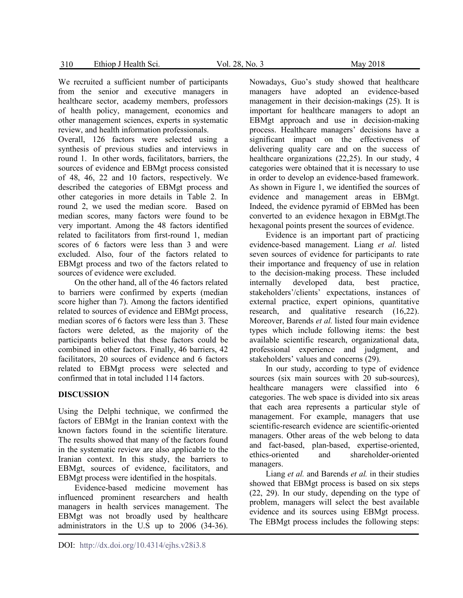We recruited a sufficient number of participants from the senior and executive managers in healthcare sector, academy members, professors of health policy, management, economics and other management sciences, experts in systematic review, and health information professionals.

Overall, 126 factors were selected using a synthesis of previous studies and interviews in round 1. In other words, facilitators, barriers, the sources of evidence and EBMgt process consisted of 48, 46, 22 and 10 factors, respectively. We described the categories of EBMgt process and other categories in more details in Table 2. In round 2, we used the median score. Based on median scores, many factors were found to be very important. Among the 48 factors identified related to facilitators from first-round 1, median scores of 6 factors were less than 3 and were excluded. Also, four of the factors related to EBMgt process and two of the factors related to sources of evidence were excluded.

On the other hand, all of the 46 factors related to barriers were confirmed by experts (median score higher than 7). Among the factors identified related to sources of evidence and EBMgt process, median scores of 6 factors were less than 3. These factors were deleted, as the majority of the participants believed that these factors could be combined in other factors. Finally, 46 barriers, 42 facilitators, 20 sources of evidence and 6 factors related to EBMgt process were selected and confirmed that in total included 114 factors.

## **DISCUSSION**

Using the Delphi technique, we confirmed the factors of EBMgt in the Iranian context with the known factors found in the scientific literature. The results showed that many of the factors found in the systematic review are also applicable to the Iranian context. In this study, the barriers to EBMgt, sources of evidence, facilitators, and EBMgt process were identified in the hospitals.

Evidence-based medicine movement has influenced prominent researchers and health managers in health services management. The EBMgt was not broadly used by healthcare administrators in the U.S up to 2006 (34-36).

Nowadays, Guo's study showed that healthcare managers have adopted an evidence-based management in their decision-makings (25). It is important for healthcare managers to adopt an EBMgt approach and use in decision-making process. Healthcare managers' decisions have a significant impact on the effectiveness of delivering quality care and on the success of healthcare organizations (22,25). In our study, 4 categories were obtained that it is necessary to use in order to develop an evidence-based framework. As shown in Figure 1, we identified the sources of evidence and management areas in EBMgt. Indeed, the evidence pyramid of EBMed has been converted to an evidence hexagon in EBMgt.The hexagonal points present the sources of evidence.

Evidence is an important part of practicing evidence-based management. Liang *et al.* listed seven sources of evidence for participants to rate their importance and frequency of use in relation to the decision-making process. These included internally developed data, best practice, stakeholders'/clients' expectations, instances of external practice, expert opinions, quantitative research, and qualitative research (16,22). Moreover, Barends *et al.* listed four main evidence types which include following items: the best available scientific research, organizational data, professional experience and judgment, and stakeholders' values and concerns (29).

In our study, according to type of evidence sources (six main sources with 20 sub-sources), healthcare managers were classified into 6 categories. The web space is divided into six areas that each area represents a particular style of management. For example, managers that use scientific-research evidence are scientific-oriented managers. Other areas of the web belong to data and fact-based, plan-based, expertise-oriented, ethics-oriented and shareholder-oriented managers.

Liang *et al.* and Barends *et al.* in their studies showed that EBMgt process is based on six steps (22, 29). In our study, depending on the type of problem, managers will select the best available evidence and its sources using EBMgt process. The EBMgt process includes the following steps: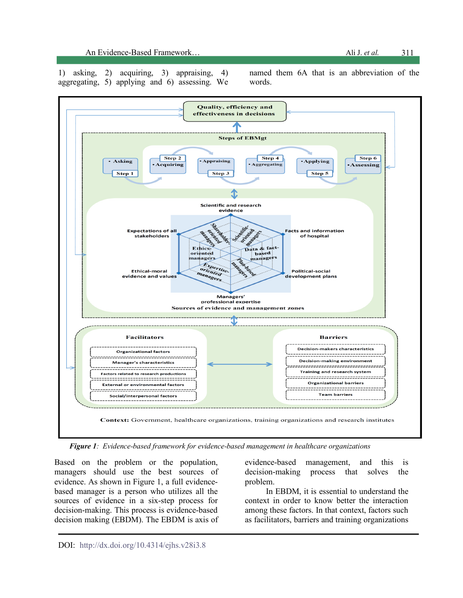1) asking, 2) acquiring, 3) appraising, 4) aggregating, 5) applying and 6) assessing. We

named them 6A that is an abbreviation of the words.



*Figure 1: Evidence-based framework for evidence-based management in healthcare organizations*

Based on the problem or the population, managers should use the best sources of evidence. As shown in Figure 1, a full evidencebased manager is a person who utilizes all the sources of evidence in a six-step process for decision-making. This process is evidence-based decision making (EBDM). The EBDM is axis of evidence-based management, and this is decision-making process that solves the problem.

 In EBDM, it is essential to understand the context in order to know better the interaction among these factors. In that context, factors such as facilitators, barriers and training organizations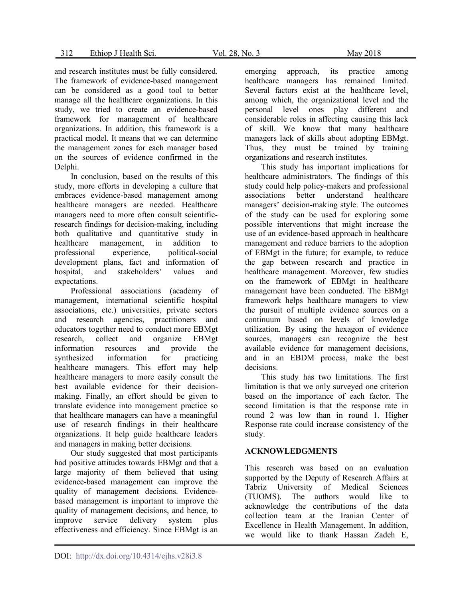and research institutes must be fully considered. The framework of evidence-based management can be considered as a good tool to better manage all the healthcare organizations. In this study, we tried to create an evidence-based framework for management of healthcare organizations. In addition, this framework is a practical model. It means that we can determine the management zones for each manager based on the sources of evidence confirmed in the Delphi.

In conclusion, based on the results of this study, more efforts in developing a culture that embraces evidence-based management among healthcare managers are needed. Healthcare managers need to more often consult scientificresearch findings for decision-making, including both qualitative and quantitative study in healthcare management, in addition to professional experience, political-social development plans, fact and information of hospital, and stakeholders' values and expectations.

Professional associations (academy of management, international scientific hospital associations, etc.) universities, private sectors and research agencies, practitioners and educators together need to conduct more EBMgt research, collect and organize EBMgt information resources and provide the synthesized information for practicing healthcare managers. This effort may help healthcare managers to more easily consult the best available evidence for their decisionmaking. Finally, an effort should be given to translate evidence into management practice so that healthcare managers can have a meaningful use of research findings in their healthcare organizations. It help guide healthcare leaders and managers in making better decisions.

Our study suggested that most participants had positive attitudes towards EBMgt and that a large majority of them believed that using evidence-based management can improve the quality of management decisions. Evidencebased management is important to improve the quality of management decisions, and hence, to improve service delivery system plus effectiveness and efficiency. Since EBMgt is an

emerging approach, its practice among healthcare managers has remained limited. Several factors exist at the healthcare level, among which, the organizational level and the personal level ones play different and considerable roles in affecting causing this lack of skill. We know that many healthcare managers lack of skills about adopting EBMgt. Thus, they must be trained by training organizations and research institutes.

This study has important implications for healthcare administrators. The findings of this study could help policy-makers and professional associations better understand healthcare managers' decision-making style. The outcomes of the study can be used for exploring some possible interventions that might increase the use of an evidence-based approach in healthcare management and reduce barriers to the adoption of EBMgt in the future; for example, to reduce the gap between research and practice in healthcare management. Moreover, few studies on the framework of EBMgt in healthcare management have been conducted. The EBMgt framework helps healthcare managers to view the pursuit of multiple evidence sources on a continuum based on levels of knowledge utilization. By using the hexagon of evidence sources, managers can recognize the best available evidence for management decisions, and in an EBDM process, make the best decisions.

This study has two limitations. The first limitation is that we only surveyed one criterion based on the importance of each factor. The second limitation is that the response rate in round 2 was low than in round 1. Higher Response rate could increase consistency of the study.

### **ACKNOWLEDGMENTS**

This research was based on an evaluation supported by the Deputy of Research Affairs at Tabriz University of Medical Sciences (TUOMS). The authors would like to acknowledge the contributions of the data collection team at the Iranian Center of Excellence in Health Management. In addition, we would like to thank Hassan Zadeh E,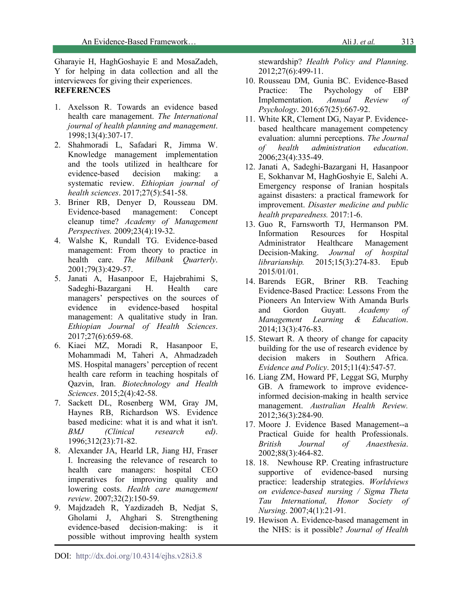Gharayie H, HaghGoshayie E and MosaZadeh, Y for helping in data collection and all the interviewees for giving their experiences. **REFERENCES**

- 1. Axelsson R. Towards an evidence based health care management. *The International journal of health planning and management*. 1998;13(4):307-17.
- 2. Shahmoradi L, Safadari R, Jimma W. Knowledge management implementation and the tools utilized in healthcare for evidence-based decision making: a systematic review. *Ethiopian journal of health sciences*. 2017;27(5):541-58.
- 3. Briner RB, Denyer D, Rousseau DM. Evidence-based management: Concept cleanup time? *Academy of Management Perspectives.* 2009;23(4):19-32.
- 4. Walshe K, Rundall TG. Evidence-based management: From theory to practice in health care. *The Milbank Quarterly*. 2001;79(3):429-57.
- 5. Janati A, Hasanpoor E, Hajebrahimi S, Sadeghi-Bazargani H. Health care managers' perspectives on the sources of evidence in evidence-based hospital management: A qualitative study in Iran. *Ethiopian Journal of Health Sciences*. 2017;27(6):659-68.
- 6. Kiaei MZ, Moradi R, Hasanpoor E, Mohammadi M, Taheri A, Ahmadzadeh MS. Hospital managers' perception of recent health care reform in teaching hospitals of Qazvin, Iran. *Biotechnology and Health Sciences*. 2015;2(4):42-58.
- 7. Sackett DL, Rosenberg WM, Gray JM, Haynes RB, Richardson WS. Evidence based medicine: what it is and what it isn't. *BMJ (Clinical research ed)*. 1996;312(23):71-82.
- 8. Alexander JA, Hearld LR, Jiang HJ, Fraser I. Increasing the relevance of research to health care managers: hospital CEO imperatives for improving quality and lowering costs. *Health care management review*. 2007;32(2):150-59.
- 9. Majdzadeh R, Yazdizadeh B, Nedjat S, Gholami J, Ahghari S. Strengthening evidence-based decision-making: is it possible without improving health system

stewardship? *Health Policy and Planning*. 2012;27(6):499-11.

- 10. Rousseau DM, Gunia BC. Evidence-Based Practice: The Psychology of EBP Implementation. *Annual Review of Psychology*. 2016;67(25):667-92.
- 11. White KR, Clement DG, Nayar P. Evidencebased healthcare management competency evaluation: alumni perceptions. *The Journal of health administration education*. 2006;23(4):335-49.
- 12. Janati A, Sadeghi-Bazargani H, Hasanpoor E, Sokhanvar M, HaghGoshyie E, Salehi A. Emergency response of Iranian hospitals against disasters: a practical framework for improvement. *Disaster medicine and public health preparedness.* 2017:1-6.
- 13. Guo R, Farnsworth TJ, Hermanson PM. Information Resources for Hospital Administrator Healthcare Management Decision-Making. *Journal of hospital librarianship.* 2015;15(3):274-83. Epub 2015/01/01.
- 14. Barends EGR, Briner RB. Teaching Evidence-Based Practice: Lessons From the Pioneers An Interview With Amanda Burls and Gordon Guyatt. *Academy of Management Learning & Education*. 2014;13(3):476-83.
- 15. Stewart R. A theory of change for capacity building for the use of research evidence by decision makers in Southern Africa. *Evidence and Policy*. 2015;11(4):547-57.
- 16. Liang ZM, Howard PF, Leggat SG, Murphy GB. A framework to improve evidenceinformed decision-making in health service management. *Australian Health Review.* 2012;36(3):284-90.
- 17. Moore J. Evidence Based Management--a Practical Guide for health Professionals. *British Journal of Anaesthesia*. 2002;88(3):464-82.
- 18. 18. Newhouse RP. Creating infrastructure supportive of evidence-based nursing practice: leadership strategies. *Worldviews on evidence-based nursing / Sigma Theta Tau International, Honor Society of Nursing*. 2007;4(1):21-91.
- 19. Hewison A. Evidence-based management in the NHS: is it possible? *Journal of Health*